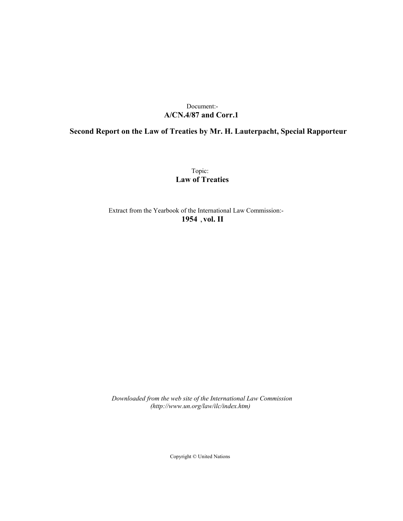## Document:- **A/CN.4/87 and Corr.1**

# **Second Report on the Law of Treaties by Mr. H. Lauterpacht, Special Rapporteur**

Topic: **Law of Treaties**

Extract from the Yearbook of the International Law Commission:- **1954** ,**vol. II**

*Downloaded from the web site of the International Law Commission (http://www.un.org/law/ilc/index.htm)*

Copyright © United Nations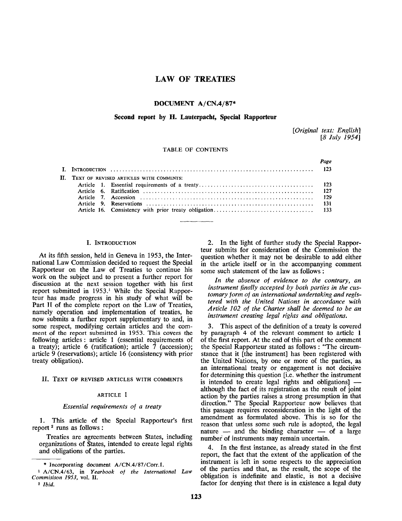## **LAW OF TREATIES**

## **DOCUMENT A/CN.4/87\***

## **Second report by H. Lauterpacht, Special Rapporteur**

*[Original text: English] [8 July 1954]*

#### TABLE OF CONTENTS

| II. TEXT OF REVISED ARTICLES WITH COMMENTS: |  |  |
|---------------------------------------------|--|--|
|                                             |  |  |

## I. INTRODUCTION

At its fifth session, held in Geneva in 1953, the International Law Commission decided to request the Special Rapporteur on the Law of Treaties to continue his work on the subject and to present a further report for discussion at the next session together with his first report submitted in 1953.<sup>1</sup> While the Special Rapporteur has made progress in his study of what will be Part II of the complete report on the Law of Treaties, namely operation and implementation of treaties, he now submits a further report supplementary to and, in some respect, modifying certain articles and the comment of the report submitted in 1953. This covers the following articles : article 1 (essential requirements of a treaty); article 6 (ratification); article  $\bar{7}$  (accession); article 9 (reservations); article 16 (consistency with prior treaty obligation).

#### II. TEXT OF REVISED ARTICLES WITH COMMENTS

## ARTICLE 1

#### *Essential requirements of a treaty*

1. This article of the Special Rapporteur's first report<sup>2</sup> runs as follows:

Treaties are agreements between States, including organizations of States, intended to create legal rights and obligations of the parties.

2. In the light of further study the Special Rapporteur submits for consideration of the Commission the question whether it may not be desirable to add either in the article itself or in the accompanying comment some such statement of the law as follows :

*In the absence of evidence to the contrary, an instrument finally accepted by both parties in the customary form of an international undertaking and registered with the United Nations in accordance with Article 102 of the Charter shall be deemed to be an instrument creating legal rights and obligations.*

3. This aspect of the definition of a treaty is covered by paragraph 4 of the relevant comment to article 1 of the first report. At the end of this part of the comment the Special Rapporteur stated as follows : "The circumstance that it [the instrument] has been registered with the United Nations, by one or more of the parties, as an international treaty or engagement is not decisive for determining this question [i.e. whether the instrument is intended to create legal rights and obligations] although the fact of its registration as the result of joint action by the parties raises a strong presumption in that direction." The Special Rapporteur now believes that this passage requires reconsideration in the light of the amendment as formulated above. This is so for the reason that unless some such rule is adopted, the legal nature — and the binding character — of a large number of instruments may remain uncertain.

4. In the first instance, as already stated in the first report, the fact that the extent of the application of the instrument is left in some respects to the appreciation of the parties and that, as the result, the scope of the obligation is indefinite and elastic, is not a decisive factor for denying that there is in existence a legal duty

<sup>\*</sup> Incorporating document A/CN.4/87/Corr.l.

<sup>1</sup> A/CN.4/63, in *Yearbook of the International Law Commisison 1953,* vol. II.

<sup>2</sup>  *Ibid.*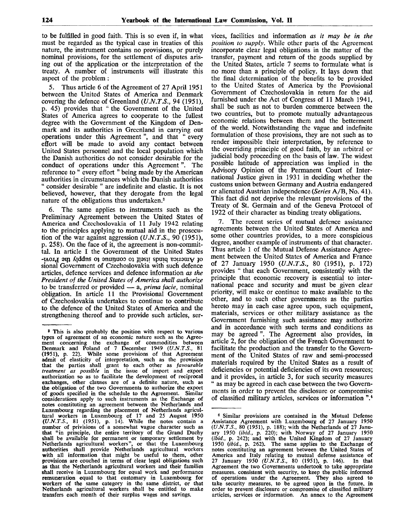to be fulfilled in good faith. This is so even if, in what must be regarded as the typical case in treaties of this nature, the instrument contains no provisions, or purely nominal provisions, for the settlement of disputes arising out of the application or the interpretation of the treaty. A number of instruments will illustrate this aspect of the problem :

5. Thus article 6 of the Agreement of 27 April 1951 between the United States of America and Denmark covering the defence of Greenland *(U.N.T.S.,* 94 (1951), p. 45) provides that " the Government of the United States of America agrees to cooperate to the fullest degree with the Government of the Kingdom of Denmark and its authorities in Greenland in carrying out operations under this Agreement ", and that " every effort will be made to avoid any contact between United States personnel and the local population which the Danish authorities do not consider desirable for the conduct of operations under this Agreement ". The reference to " every effort " being made by the American authorities in circumstances which the Danish authorities " consider desirable " are indefinite and elastic. It is not believed, however, that they derogate from the legal nature of the obligations thus undertaken.<sup>3</sup>

6. The same applies to instruments such as the Preliminary Agreement between the United States of America and Czechoslovakia of 11 July 1942 relating to the principles applying to mutual aid in the prosecution of the war against aggression *(U.N.T.S.,* 90 (1951), p. 258). On the face of it, the agreement is non-committal. In article I the Government of the United States -rvory suit suitsele binding of sunting of supply and all violence services of the service of the context of the context of the context of the context of the context of the context of the context of the context of the cont sional Government of Czechoslovakia with such defence articles, defence services and defence information *as the President of the United States of America shall authorize* to be transferred or provided — a, *prima facie,* nominal obligation. In article 11 the Provisional Government of Czechoslovakia undertakes to continue to contribute to the defence of the United States of America and the strengthening thereof and to provide such articles, ser-

vices, facilities and information *as it may be in the position to supply.* While other parts of the Agreement incorporate clear legal obligations in the matter of the transfer, payment and return of the goods supplied by the United States, article 7 seems to formulate what is no more than a principle of policy. It lays down that the final determination of the benefits to be provided to the United States of America by the Provisional Government of Czechoslovakia in return for the aid furnished under the Act of Congress of 11 March 1941, shall be such as not to burden commerce between the two countries, but to promote mutually advantageous economic relations between them and the betterment of the world. Notwithstanding the vague and indefinite formulation of those provisions, they are not such as to render impossible their interpretation, by reference to the overriding principle of good faith, by an arbitral or judicial body proceeding on the basis of law. The widest possible latitude of appreciation was implied in the Advisory Opinion of the Permanent Court of International Justice given in 1931 in deciding whether the customs union between Germany and Austria endangered or alienated Austrian independence *(Series* A/B, No. 41). This fact did not deprive the relevant provisions of the Treaty of St. Germain and of the Geneva Protocol of 1922 of their character as binding treaty obligations.

The recent series of mutual defence assistance agreements between the United States of America and some other countries provides, to a more conspicious degree, another example of instruments of that character. Thus article 1 of the Mutual Defense Assistance Agreement between the United States of America and France of 27 January 1950 *(U.N.T.S.,* 80 (1951), p. 172) provides " that each Government, consistently with the principle that economic recovery is essential to international peace and security and must be given clear priority, will make or continue to make available to the other, and to such other governments as the parties hereto may in each case agree upon, such equipment, materials, services or other military assistance as the Government furnishing such assistance may authorize and in accordance with such terms and conditions as may be agreed ". The Agreement also provides, in article 2, for the obligation of the French Government to facilitate the production and the transfer to the Government of the United States of raw and semi-processed materials required by the United States as a result of deficiencies or potential deficiencies of its own resources; and it provides, in article 3, for such security measures " as may be agreed in each case between the two Governments in order to prevent the disclosure or compromise of classified military articles, services or information ".<sup>4</sup>

<sup>&</sup>lt;sup>3</sup> This is also probably the position with respect to various types of agreement of an economic nature such as the Agreement concerning the exchange of commodities between Denmark and Poland of 7 December 1949 *(U.N.T.S.,* 81 While some provisions of that Agreement admit of elasticity of interpretation, such as the provision that the parties shall grant to each other as *favourable treatment as possible* in the issue of import and export authorization so as to facilitate the development of reciprocal exchanges, other clauses are of a definite nature, such as the obligation of the two Governments to authorize the export of goods specified in the schedule to the Agreement. Similar considerations apply to such instruments as the Exchange of notes constituting an agreement between the Netherlands and Luxembourg regarding the placement of Netherlands agricultural workers in Luxembourg of 17 and 25 August 1950 *(U.N.T.S.,* 81 (1951), p. 14). While the notes contain a number of privisions of a somewhat vague character such as **that** "in principle, the entire territory of the Grand Duchy shall be available for permanent or temporary settlement by Netherlands agricultural workers", or that the Luxembourg authorities shall provide Netherlands agricultural workers **with** all information that might be useful to them, other provisions are couched in terms of clear legal obligations such as that the Netherlands agricultural workers and their families shall receive in Luxembourg for equal work and performance remuneration equal to that customary in Luxembourg for workers of the same category in the same district, or that Netherlands agricultural workers shall be entitled to make transfers each month of their surplus wages and savings.

<sup>4</sup> Similar provisions are contained in the Mutual Defense Assistance Agreement with Luxembourg of 27 January 1950 *(U.N.T.S.,* 80 (1951), p. 188); with the Netherlands of 27 January 1950 *(ibid.,* p. 220); with Norway of 27 January 1950 *(ibid.,* p. 242); and with the United Kingdom of 27 January 1950 *(ibid.,* p. 262). The same applies to the Exchange of notes constituting an agreement between the United States of America and Italy relating to mutual defense assistance of 27 January 1950 *(U.N.T.S.,* 80 (1951), p. 146). In that Agreement the two Governments undertook to take appropriate measures, consistent with security, to keep the public informed of operations under the Agreement. They also agreed to take security measures, to be agreed upon in the future, in order to prevent disclosure or compromise of classified military articles, services or information. An annex to the Agreement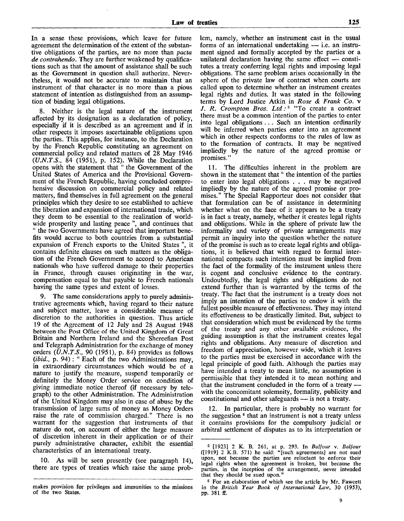In a sense these provisions, which leave for future agreement the determination of the extent of the substantive obligations of the parties, are no more than *pacta de contrahendo.* They are further weakened by qualifications such as that the amount of assistance shall be such as the Government in question shall authorize. Nevertheless, it would not be accurate to maintain that an instrument of that character is no more than a pious statement of intention as distinguished from an assumption of binding legal obligations.

8. Neither is the legal nature of the instrument affected by its designation as a declaration of policy, especially if it is described as an agreement and if in other respects it imposes ascertainable obligations upon the parties. This applies, for instance, to the Declaration by the French Republic constituting an agreement on commercial policy and related matters of 28 May 1946 *(U.N.T.S.,* 84 (1951), p. 152). While the Declaration opens with the statement that " the Government of the United States of America and the Provisional Government of the French Republic, having concluded comprehensive discussion on commercial policy and related matters, find themselves in full agreement on the general principles which they desire to see established to achieve the liberation and expansion of international trade, which they deem to be essential to the realization of worldwide prosperity and lasting peace ", and continues that the two Governments have agreed that important benefits would accrue to both countries from a substantial expansion of French exports to the United States ", it contains definite clauses on such matters as the obligation of the French Government to accord to American nationals who have suffered damage to their properties in France, through causes originating in the war, compensation equal to that payable to French nationals having the same types and extent of losses.

9. The same considerations apply to purely administrative agreements which, having regard to their nature and subject matter, leave a considerable measure of discretion to the authorities in question. Thus article 19 of the Agreement of 12 July and 28 August 1948 between the Post Office of the United Kingdom of Great Britain and Northern Ireland and the Shereefian Post and Telegraph Administration for the exchange of money orders *(U.N.T.S.,* 90 (1951), p. 84) provides as follows *(ibid.,* p. 94) : " Each of the two Administrations may, in extraordinary circumstances which would be of a nature to justify the measure, suspend temporarily or definitely the Money Order service on condition of giving immediate notice thereof (if necessary by telegraph) to the other Administration. The Administration of the United Kingdom may also in case of abuse by the transmission of large sums of money as Money Orders raise the rate of commission charged." There is no warrant for the suggestion that instruments of that nature do not, on account of either the large measure of discretion inherent in their application or of their purely administrative character, exhibit the essential characteristics of an international treaty.

10. As will be seen presently (see paragraph 14), there are types of treaties which raise the same problem, namely, whether an instrument cast in the usual forms of an international undertaking — i.e. an instrument signed and formally accepted by the parties or a unilateral declaration having the same effect — constitutes a treaty conferring legal rights and imposing legal obligations. The same problem arises occasionally in the sphere of the private law of contract when courts are called upon to determine whether an instrument creates legal rights and duties. It was stated in the following terms by Lord Justice Atkin in *Rose & Frank Co.* v /. *R. Crompton Bros. Ltd:*<sup>5</sup> "To create a contract there must be a common intention of the parties to enter into legal obligations .. . Such an intention ordinarily will be inferred when parties enter into an agreement which in other respects conforms to the rules of law as to the formation of contracts. It may be negatived impliedly by the nature of the agreed promise or promises."

11. The difficulties inherent in the problem are shown in the statement that " the intention of the parties to enter into legal obligations . . . may be negatived impliedly by the nature of the agreed promise or promises." The Special Rapporteur does not consider that that formulation can be of assistance in determining whether what on the face of it appears to be a treaty is in fact a treaty, namely, whether it creates legal rights and obligations. While in the sphere of private law the informality and variety of private arrangements may permit an inquiry into the question whether the nature of the promise is such as to create legal rights and obligations, it is believed that with regard to formal international compacts such intention must be implied from the fact of the formality of the instrument unless there is cogent and conclusive evidence to the contrary. Undoubtedly, the legal rights and obligations do not extend further than is warranted by the terms of the treaty. The fact that the instrument is a treaty does not imply an intention of the parties to endow it with the fullest possible measure of effectiveness. They may intend its effectiveness to be drastically limited. But, subject to that consideration which must be evidenced by the terms of the treaty and any other available evidence, the guiding assumption is that the instrument creates legal rights and obligations. Any measure of discretion and freedom of appreciation, however wide, which it leaves to the parties must be exercised in accordance with the legal principle of good faith. Although the parties may have intended a treaty to mean little, no assumption is permissible that they intended it to mean nothing and that the instrument concluded in the form of a treaty with the concomitant solemnity, formality, publicity and constitutional and other safeguards — is not a treaty.

12. In particular, there is probably no warrant for the suggestion <sup>6</sup> that an instrument is not a treaty unless it contains provisions for the compulsory judicial or arbitral settlement of disputes as to its interpretation or

makes provision for privileges and immunities to the missions of the two States.

<sup>5</sup> [1923] 2 K. B. 261, at p. 293. In *Balfour* v. *Balfour* ([1919] 2 K.B. 571) he said: "[such agreements] are not sued upon, not because the parties are reluctant to enforce their legal rights when the agreement is broken, but because the parties, in the inception of the arrangement, never intended that they should be sued upon."

<sup>6</sup> For an elaboration of which see the article by Mr. Fawcett in the *British Year Book of International Law,* 30 (1953), pp. 381 ff.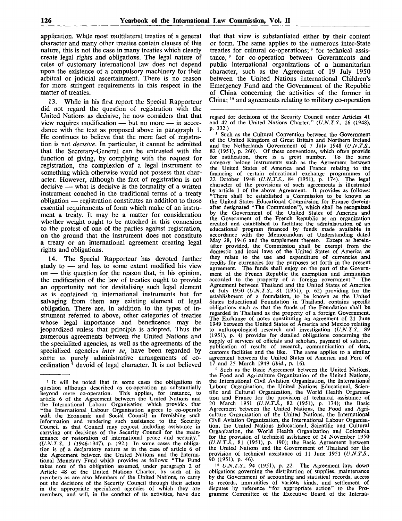application. While most multilateral treaties of a general character and many other treaties contain clauses of this nature, this is not the case in many treaties which clearly create legal rights and obligations. The legal nature of rules of customary international law does not depend upon the existence of a compulsory machinery for their arbitral or judicial ascertainment. There is no reason for more stringent requirements in this respect in the matter of treaties.

13. While in his first report the Special Rapporteur did not regard the question of registration with the United Nations as decisive, he now considers that that view requires modification — but no more — in accordance with the text as proposed above in paragraph 1. He continues to believe that the mere fact of registration is not *decisive.* In particular, it cannot be admitted that the Secretary-General can be entrusted with the function of giving, by complying with the request for registration, the complexion of a legal instrument to something which otherwise would not possess that character. However, although the fact of registration is not decisive — what is decisive is the formality of a written instrument couched in the traditional terms of a treaty obligation — registration constitutes an addition to those essential requirements of form which make of an instrument a treaty. It may be a matter for consideration whether weight ought to be attached in this connexion to the protest of one of the parties against registration, on the ground that the instrument does not constitute a treaty or an international agreement creating legal rights and obligations.

14. The Special Rapporteur has devoted further study to — and has to some extent modified his view on — this question for the reason that, in his opinion, the codification of the law of treaties ought to provide an opportunity not for devitalising such legal element as is contained in international instruments but for salvaging from them any existing element of legal obligation. There are, in addition to the types of instrument referred to above, other categories of treaties whose legal importance and beneficence may be jeopardized unless that principle is adopted. Thus the numerous agreements between the United Nations and the specialized agencies, as well as the agreements of the specialized agencies *inter se,* have been regarded by some as purely administrative arrangements of coordination <sup>7</sup> devoid of legal character. It is not believed

that that view is substantiated either by their content or form. The same applies to the numerous inter-State treaties for cultural co-operations; <sup>8</sup> for technical assistance; <sup>9</sup> for co-operation between Governments and public international organizations of a humanitarian character, such as the Agreement of 19 July 1950 between the United Nations International Children's Emergency Fund and the Government of the Republic of China concerning the activities of the former in China; <sup>10</sup> and agreements relating to military co-operation

8 Such as the Cultural Convention between the Government of the United Kingdom of Great Britain and Northern Ireland and the Netherlands Government of 7 July 1948 *(U.N.T.S.,* 82 (1951), p. 260). Of these conventions, which often provide for ratification, there is a great number. To the same category belong instruments such as the Agreement between the United States of America and France relating to the financing of certain educational exchange programmes of 22 October 1948 *(U.N.T.S.,* 84 (1951), p. 174). The legal character of the provisions of such agreements is illustrated by article 1 of the above Agreement. It provides as follows: "There shall be established a Commission to be known as the United States Educational Commission for France (hereinafter designated <sup>v</sup>'The Commission"), which shall be recognized by the Government of the United States of America and the Government of the French Republic as an organization created and established to facilitate the administration of an educational program financed by funds made available in accordance with the Memorandum of Understanding dated May 28, 1946 and the supplement thereto. Except as hereinafter provided, the Commission shall be exempt from the domestic and local laws of the United States of America as they relate to the use and expenditure of currencies and credits for currencies for the purposes set forth in the present creams for carrencies for the parposes set form in the present agreement. The funds shall enjoy on the part of the Oovern-HIGHT OF THE FTURNET REPUBLE THE EXUMPTION AND IMMIDIME. accolutu to the property of a foreign government. The of July 1950 *(U.N.T.S.,* 81 (1951), p. 62) providing for the of  $J$ uly  $19.50$   $(U_4N, I_4S_4, 01$   $(I334)$ , p. 02) providing for the Oriental establishment of a foundation, to be known as the United<br>States Educational Foundation in Thailand, contains specific obligations such as that the funds of the Foundation shall be regarded in Thailand as the property of a foreign Government. regarded in Thailand as the property of a foreign Government. The Exchange of notes constituting an agreement of 21 June to anthropological research and investigation *(U.N.T.S.,* 89 to anthropological research and investigation  $(U.N.1.5., 69)$  $(1951)$ , p. 4) provides for detailed obligations concerning the supply of services of officials and scholars, payment of salaries, publication of results of research, communication of data, customs facilities and the like. The same applies to a similar agreement between the United States of America and Peru of

9 Such as the Basic Agreement between the United Nations, the Food and Agriculture Organization of the United Nations, the International Civil Aviation Organization, the International Labour Organisation, the United Nations Educational, Scientific and Cultural Organization, the World Health Organization and France for the provision of technical assistance of 20 March 1951 *(U.N.T.S.,* 82 (1951), p. 174); the Basic Agreement between the United Nations, the Food and Agriculture Organization of the United Nations, the International Civil Aviation Organization, the International Labour Organisation, the United Nations Educational, Scientific and Cultural Organization, the World Health Organization and Colombia for the provision of technical assistance of 24 November 1950 *{U.N.T.S.,* 81 (1951), p. 190); the Basic Agreement between the United Nations and the Government of Thailand for the provision of technical assistance of 11 June 1951 *(U.N.T.S.,* 90 (1951), p. 46).

 $10$  U.N.T.S., 94 (1951), p. 22. The Agreement lays down obligations governing the distribution of supplies, maintenance by the Government of accounting and statistical records, access to records, immunities of various kinds, and settlement of disputes by reference "for appropriate action" to the Programme Committee of the Executive Board of the Interna-

T It will be noted that in some cases the obligations in question although described as co-operation go substantially beyond mere co-operation. This applies, for instance, to article 6 of the Agreement between the United Nations and the International Labour Organisation which provides that "the International Labour Organisation agrees to co-operate with the Economic and Social Council in furnishing such information and rendering such assistance to the Security Council as that Council may request including assistance in carrying out decisions of the Security Council for the maintenance or restoration of international peace and security." *(U.N.T.S.,* 1 (1946-1947), p. 192.) In some cases the obligation is of a declaratory nature as in the case of article 6 of the Agreement between the United Nations and the International Monetary Fund which provides as follows: "The Fund takes note of the obligation assumed, under paragraph 2 of Article 48 of the United Nations Charter, by such of its members as are also Members of the United Nations, to carry out the decisions of the Security Council through their action in the appropriate specialized agencies of which they are members, and will, in the conduct of its activities, have due

regard for decisions of the Security Council under Articles 41 and 42 of the United Nations Charter." *(U.N.T.S.,* 16 (1948), p. 332.)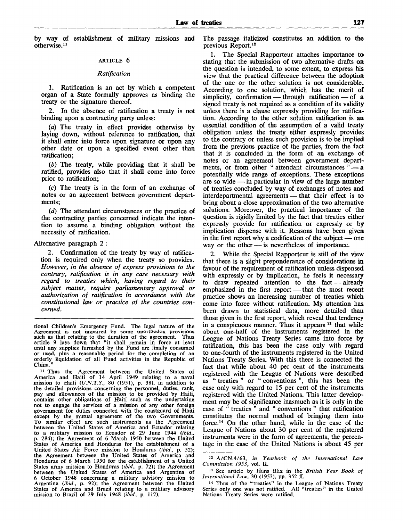by way of establishment of military missions and otherwise.<sup>11</sup>

#### ARTICLE 6

#### *Ratification*

1. Ratification is an act by which a competent organ of a State formally approves as binding the treaty or the signature thereof.

In the absence of ratification a treaty is not binding upon a contracting party unless:

(a) The treaty in effect provides otherwise by laying down, without reference to ratification, that it shall enter into force upon signature or upon any other date or upon a specified event other than ratification;

*(b)* The treaty, while providing that it shall be ratified, provides also that it shall come into force prior to ratification;

(c) The treaty is in the form of an exchange of notes or an agreement between government departments;

*(d)* The attendant circumstances or the practice of the contracting parties concerned indicate the intention to assume a binding obligation without the necessity of ratification.

#### Alternative paragraph 2 :

2. Confirmation of the treaty by way of ratification is required only when the treaty so provides. *However, in the absence of express provisions to the contrary, ratification is in any case necessary with regard to treaties which, having regard to their subject matter, require parliamentary approval or authorization of ratification in accordance with the constitutional law or practice of the countries concerned.*

<sup>11</sup> Thus the Agreement between the United States of America and Haiti of 14 April 1949 relating to a naval mission to Haiti *(U.N.T.S.,* 80 (1951), p. 38), in addition to the detailed provisions concerning the personnel, duties, rank, pay and allowances of the mission to be provided by Haiti, contains other obligations of Haiti such as the undertaking not to engage the services of a mission of any other foreign government for duties connected with the coastguard of Haiti except by the mutual agreement of the two Governments. To similar effect are such instruments as the Agreement between the United States of America and Ecuador relating to a military mission to Ecuador of 29 June 1944 *(ibid.,* p. 284); the Agreement of 6 March 1950 between the United States of America and Honduras for the establishment of a United States Air Force mission to Honduras *(ibid.,* p. 52); the Agreement between the United States of America and Honduras of 6 March 1950 for the establishment of a United States army mission to Honduras *(ibid.,* p. 72); the Agreement between the United States of America and Argentina of 6 October 1948 concerning a military advisory mission to Argentina *(ibid.,* p. 92); the Agreement between the United Argentina (ibid., p. 92); the Agreement between the United States of America and Brazil relating to a military advisory mission to Brazil of 29 July 1948 *(ibid.*, p. 112).

The passage italicized constitutes an addition to the previous Report.<sup>12</sup>

1. The Special Rapporteur attaches importance to stating that the submission of two alternative drafts on the question is intended, to some extent, to express his view that the practical difference between the adoption of the one or the other solution is not considerable. According to one solution, which has the merit of simplicity, confirmation — through ratification — of a signed treaty is not required as a condition of its validity unless there is a clause expressly providing for ratification. According to the other solution ratification is an essential condition of the assumption of a valid treaty obligation unless the treaty either expressly provides to the contrary or unless such provision is to be implied from the previous practice of the parties, from the fact that it is concluded in the form of an exchange of notes or an agreement between government departments, or from other " attendant circumstances  $"$ — a potentially wide range of exceptions. These exceptions are so wide — in particular in view of the large number of treaties concluded by way of exchanges of notes and interdepartmental agreements — that their effect is to bring about a close approximation of the two alternative solutions. Moreover, the practical importance of the question is rigidly limited by the fact that treaties either expressly provide for ratification or expressly or by implication dispense with it. Reasons have been given in the first report why a codification of the subject — one way or the other — is nevertheless of importance.

While the Special Rapporteur is still of the view that there is a slight preponderance of considerations in favour of the requirement of ratification unless dispensed with expressly or by implication, he feels it necessary to draw repeated attention to the fact — already emphasized in the first report — that the most recent practice shows an increasing number of treaties which come into force without ratification. My attention has been drawn to statistical data, more detailed than those given in the first report, which reveal that tendency in a conspicuous manner. Thus it appears  $13$  that while about one-half of the instruments registered in the League of Nations Treaty Series came into force by ratification, this has been the case only with regard to one-fourth of the instruments registered in the United Nations Treaty Series. With this there is connected the fact that while about 40 per cent of the instruments registered with the League of Nations were described as " treaties " or " conventions ", this has been the case only with regard to 15 per cent of the instruments registered with the United Nations. This latter development may be of significance inasmuch as it is only in the case of  $\frac{1}{x}$  treaties  $\frac{1}{x}$  and " conventions " that ratification constitutes the normal method of bringing them into force.<sup>14</sup> On the other hand, while in the case of the League of Nations about 30 per cent of the registered instruments were in the form of agreements, the percentage in the case of the United Nations is about 45 per

tional Children's Emergency Fund. The legal nature of the Agreement is not impaired by some unorthodox provisions such as that relating to the duration of the agreement. Thus article 9 lays down that "it shall remain in force at least until any supplies furnished by the Fund are finally consumed or used, plus a reasonable period for the completion of an orderly liquidation of all Fund activities in the Republic of China.

<sup>12</sup> A/CN.4/63, *in Yearbook of the International Law Commission 1953,* vol. II.

<sup>13</sup> See article by Hans Blix in the *British Year Book oj International Law,* 30 (1953), pp. 352 ff.

<sup>&</sup>lt;sup>14</sup> Thus of the "treaties" in the League of Nations Treaty Series only one was not ratified. All "treaties" in the United Nations Treaty Series were ratified.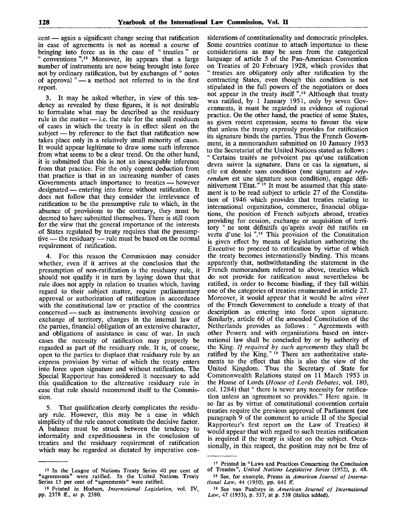cent — again a significant change seeing that ratification in case of agreements is not as normal a course of bringing into force as in the case of " treaties " or " conventions ".<sup>15</sup> Moreover, its appears that a large number of instruments are now being brought into force not by ordinary ratification, but by exchanges of " notes of approval " — a method not referred to in the first report.

3. It may be asked whether, in view of this tendency as revealed by these figures, it is not desirable to formulate what may be described as the residuary rule in the matter — i.e. the rule for the small residuum of cases in which the treaty is in effect silent on the subject — by reference to the fact that ratification now takes place only in a relatively small minority of cases. It would appear legitimate to draw some such inference from what seems to be a clear trend. On the other hand, it is submitted that this is not an inescapable inference from that practice. For the only cogent deduction from that practice is that in an increasing number of cases Governments attach importance to treaties — however designated — entering into force without ratification. It does not follow that they consider the irrelevance of ratification to be the presumptive rule to which, in the absence of provisions to the contrary, they must be deemed to have submitted themselves. There is still room for the view that the general importance of the interests of States regulated by treaty requires that the presumptive — the residuary — rule must be based on the normal requirement of ratification.

4. For this reason the Commission may consider whether, even if it arrives at the conclusion that the presumption of non-ratification is the residuary rule, it should not qualify it in turn by laying down that that rule does not apply in relation to treaties which, having regard to their subject matter, require parliamentary approval or authorization of ratification in accordance with the constitutional law or practice of the countries concerned — such as instruments involving cession or exchange of territory, changes in the internal law of the parties, financial obligation of an extensive character, and obligations of assistance in case of war. In such cases the necessity of ratification may properly be regarded as part of the residuary rule. It is, of course, open to the parties to displace that residuary rule by an express provision by virtue of which the treaty enters into force upon signature and without ratification. The Special Rapporteur has considered it necessary to add this qualification to the alternative residuary rule in case that rule should recommend itself to the Commission.

5. That qualification clearly complicates the residuary rule. However, this may be a case in which simplicity of the rule cannot constitute the decisive factor. A balance must be struck between the tendency to informality and expeditiousness in the conclusion of treaties and the residuary requirement of ratification which may be regarded as dictated by imperative con-

siderations of constitutionality and democratic principles. Some countries continue to attach importance to these considerations as may be seen from the categorical language of article 5 of the Pan-American Convention on Treaties of 20 February 1928, which provides that " treaties are obligatory only after ratification by the contracting States, even though this condition is not stipulated in the full powers of the negotiators or does not appear in the treaty itself ".<sup>16</sup> Although that treaty was ratified, by 1 January 1951, only by seven Governments, it must be regarded as evidence of regional practice. On the other hand, the practice of some States, as given recent expression, seems to favour the view that unless the treaty expressly provides for ratification its signature binds the parties. Thus the French Government, in a memorandum submitted on 10 January 1953 to the Secretariat of the United Nations stated as follows : " Certains traités ne prévoient pas qu'une ratification devra suivre la signature. Dans ce cas la signature, si elle est donnee sans condition (une signature *ad referendum* est une signature sous condition), engage définitivement l'Etat." 17 It must be assumed that this statement is to be read subject to article 27 of the Constitution of 1946 which provides that treaties relating to international organization, commerce, financial obligations, the position of French subjects abroad, treaties providing for cession, exchange or acquisition of territory " ne sont definitifs qu'apres avoir ete ratifies en vertu d'une loi ".<sup>18</sup> This provision of the Constitution is given effect by means of legislation authorizing the Executive to proceed to ratification by virtue of which the treaty becomes internationally binding. This means apparently that, nothwithstanding the statement in the French memorandum referred to above, treaties which do not provide for ratification must nevertheless be ratified, in order to become binding, if they fall within one of the categories of treaties enumerated in article 27. Moreover, it would appear that it would be *ultra vires* of the French Government to conclude a treaty of that description as entering into force upon signature. Similarly, article 60 of the amended Constitution of the Netherlands provides as follows: " Agreements with other Powers and with organizations based on international law shall be concluded by or by authority of the King. // *required by such agreements* they shall be ratified by the King." 19 There are authoritative statements to the effect that this is also the view of the United Kingdom. Thus the Secretary of State for Commonwealth Relations stated on 11 March 1953 in the House of Lords *(House of Lords Debates,* vol. 180, col. 1284) that " there is never any necessity for ratification unless an agreement so provides." Here again, in so far as by virtue of constitutional convention certain treaties require the previous approval of Parliament (see paragraph 9 of the comment to article II of the Special Rapporteur's first report on the Law of Treaties) it would appear that with regard to such treaties ratification is required if the treaty is silent on the subject. Occasionally, in this respect, the position may not be free of

<sup>15</sup> In the League of Nations Treaty Series 40 per cent of "agreements" were ratified. In the United Nations Treaty Series 15 per cent of "agreements" were ratified.

<sup>16</sup> Printed in Hudson, *International Legislation,* vol. IV, pp. 2378 ff., at p. 2380.

<sup>&</sup>lt;sup>17</sup> Printed in "Laws and Practices Concerning the Conclusion of Treaties", *United Nations Legislative Series* (1952), p. 48.

<sup>18</sup> See, for example, Preuss in *American Journal of International Law,* 44 (1950), pp. 641 ff.

<sup>19</sup> See van Panhuys in *American Journal of International Law,* 47 (1953), p. 537, at p. 538 (italics added).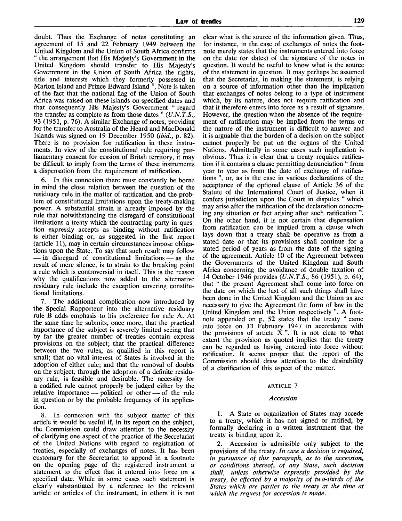doubt. Thus the Exchange of notes constituting an agreement of 15 and 22 February 1949 between the United Kingdom and the Union of South Africa confirms " the arrangement that His Majesty's Government in the United Kingdom should transfer to His Majesty's Government in the Union of South Africa the rights, title and interests which they formerly possessed in Marion Island and Prince Edward Island ". Note is taken of the fact that the national flag of the Union of South Africa was raised on these islands on specified dates and that consequently His Majesty's Government " regard the transfer as complete as from those dates " *(U.N.T.S.,* 93 (1951, p. 76). A similar Exchange of notes, providing for the transfer to Australia of the Heard and MacDonald Islands was signed on 19 December 1950 *(ibid.,* p. 82). There is no provision for ratification in these instruments. In view of the constitutional rule requiring parliamentary consent for cession of Britsh territory, it may be difficult to imply from the terms of these instruments a dispensation from the requirement of ratification.

In this connexion there must constantly be borne in mind the close relation between the question of the residuary rule in the matter of ratification and the problem of constitutional limitations upon the treaty-making power. A substantial strain is already imposed by the rule that notwithstanding the disregard of constitutional limitations a treaty which the contracting party in question expressly accepts as binding without ratification is either binding or, as suggested in the first report (article 11), may in certain circumstances impose obligations upon the State. To say that such result may follow — in disregard of constitutional limitations — as the result of mere silence, is to strain to the breaking point a rule which is controversial in itself. This is the reason why the qualifications now added to the alternative residuary rule include the exception covering constitutional limitations.

7. The additional complication now introduced by the Special Rapporteur into the alternative residuary rule B adds emphasis to his preference for rule A. At the same time he submits, once more, that the practical importance of the subject is severely limited seeing that by far the greater number of treaties contain express provisions on the subject; that the practical difference between the two rules, as qualified in this report is small; that no vital interest of States is involved in the adoption of either rule; and that the removal of doubts on the subject, through the adoption of a definite residuary rule, is feasible and desirable. The necessity for a codified rule cannot properly be judged either by the relative importance — political or other — of the rule in question or by the probable frequency of its application.

8. In connexion with the subject matter of this article it would be useful if, in its report on the subject, the Commission could draw attention to the necessity of clarifying one aspect of the practice of the Secretariat of the United Nations with regard to registration of treaties, especially of exchanges of notes. It has been customary for the Secretariat to append in a footnote on the opening page of the registered instrument a statement to the effect that it entered into force on a specified date. While in some cases such statement is clearly substantiated by a reference to the relevant article or articles of the instrument, in others it is not

clear what is the source of the information given. Thus, for instance, in the case of exchanges of notes the footnote merely states that the instruments entered into force on the date (or dates) of the signature of the notes in question. It would be useful to know what is the source of the statement in question. It may perhaps be assumed that the Secretariat, in making the statement, is relying on a source of information other than the implication that exchanges of notes belong to a type of instrument which, by its nature, does not require ratification and that it therefore enters into force as a result of signature. However, the question when the absence of the requirement of ratification may be implied from the terms or the nature of the instrument is difficult to answer and it is arguable that the burden of a decision on the subject cannot properly be put on the organs of the United Nations. Admittedly in some cases such implication is obvious. Thus it is clear that a treaty requires ratification if it contains a clause permitting denunciation " from year to year as from the date of exchange of ratifications ", or, as is the case in various declarations of the acceptance of the optional clause of Article 36 of the Statute of the International Court of Justice, when it confers jurisdiction upon the Court in disputes " which may arise after the ratification of the declaration concerning any situation or fact arising after such ratification ". On the other hand, it is not certain that dispensation from ratification can be implied from a clause which lays down that a treaty shall be operative as from a stated date or that its provisions shall continue for a stated period of years as from the date of the signing of the agreement. Article 10 of the Agreement between the Governments of the United Kingdom and South Africa concerning the avoidance of double taxation of 14 October 1946 provides *(U.N.T.S.,* 86 (1951), p. 64), that " the present Agreement shall come into force on the date on which the last of all such things shall have been done in the United Kingdom and the Union as are necessary to give the Agreement the form of law in the United Kingdom and the Union respectively ". A footnote appended on p. 52 states that the treaty " came into force on 13 February 1947 in accordance with the provisions of article  $\check{X}$ ". It is not clear to what extent the provision as quoted implies that the treaty can be regarded as having entered into force without ratification. It seems proper that the report of the Commission should draw attention to the desirability of a clarification of this aspect of the matter.

#### ARTICLE 7

#### *Accession*

1. A State or organization of States may accede to a treaty, which it has not signed or ratified, by formally declaring in a written instrument that the treaty is binding upon it.

2. Accession is admissible only subject to the provisions of the treaty. *In case a decision is required, in pursuance of this paragraph, as to the accession, or conditions thereof, of any State, such decision shall, unless otherwise expressly provided by the treaty, be effected by a majority of two-thirds of the States which are parties to the treaty at the time at which the request for accession is made.*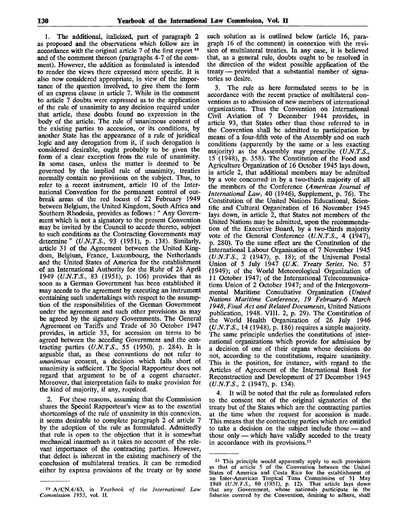1. The additional, italicized, part of paragraph 2 as proposed and the observations which follow are in accordance with the original article 7 of the first report  $20$ and of the comment thereon (paragraphs 4-7 of the comment). However, the addition as formulated is intended to render the views there expressed more specific. It is also now considered appropriate, in view of the importance of the question involved, to give them the form of an express clause in article 7. While in the comment to article 7 doubts were expressed as to the application of the rule of unanimity to any decision required under that article, these doubts found no expression in the body of the article. The rule of unanimous consent of the existing parties to accession, or its conditions, by another State has the appearance of a rule of juridical logic and any derogation from it, if such derogation is considered desirable, ought probably to be given the form of a clear exception from the rule of unanimity. In some cases, unless the matter is deemed to be governed by the implied rule of unanimity, treaties normally contain no provisions on the subject. Thus, to refer to a recent instrument, article 10 of the International Convention for the permanent control of outbreak areas of the red locust of 22 February 1949 between Belgium, the United Kingdom, South Africa and Southern Rhodesia, provides as follows : " Any Government which is not a signatory to the present Convention may be invited by the Council to accede thereto, subject to such conditions as the Contracting Governments may determine" *(U.N.T.S.,* 93 (1951), p. 138). Similarly, article 31 of the Agreement between the United Kingdom, Belgium, France, Luxembourg, the Netherlands and the United States of America for the establishment of an International Authority for the Ruhr of 28 April 1949 *(U.N.T.S.,* 83 (1951), p. 106) provides that as soon as a German Government has been established it may accede to the agreement by executing an instrument containing such undertakings with respect to the assumption of the responsibilities of the German Government under the agreement and such other provisions as may be agreed by the signatory Governments. The General Agreement on Tariffs and Trade of 30 October 1947 provides, in article 33, for accession on terms to be agreed between the acceding Government and the contracting parties *(U.N.T.S.,* 55 (1950), p. 284). It is arguable that, as these conventions do not refer to *unanimous* consent, a decision which falls short of unanimity is sufficient. The Special Rapporteur does not regard that argument to be of a cogent character. Moreover, that interpretation fails to make provision for the kind of majority, if any, required.

2. For these reasons, assuming that the Commission shares the Special Rapporteur's view as to the essential shortcomings of the rule of unanimity in this connexion, it seems desirable to complete paragraph 2 of article 7 by the adoption of the rule as formulated. Admittedly that rule is open to the objection that it is somewhat mechanical inasmuch as it takes no account of the relevant importance of the contracting parties. However, that defect is inherent in the existing machinery of the conclusion of multilateral treaties. It can be remedied either by express provisions of the treaty or by some

such solution as is outlined below (article 16, paragraph 16 of the comment) in connexion with the revision of multilateral treaties. In any case, it is believed that, as a general rule, doubts ought to be resolved in the direction of the widest possible application of the treaty — provided that a substantial number of signatories so desire.

3. The rule as here formulated seems to be in accordance with the recent practice of multilateral conventions as to admission of new members of international organizations. Thus the Convention on International Civil Aviation of 7 December 1944 provides, in article 93, that States other than those referred to in the Convention shall be admitted to participation by means of a four-fifth vote of the Assembly and on such conditions (apparently by the same or a less exacting majority) as the Assembly may prescribe *(U.N.T.S.,* 15 (1948), p. 358). The Constitution of the Food and Agriculture Organization of 16 October 1945 lays down, in article 2, that additional members may be admitted by a vote concurred in by a two-thirds majority of all the members of the Conference *(American Journal of International Law,* 40 (1946), Supplement, p. 76). The Constitution of the United Nations Educational, Scientific and Cultural Organization of 16 November 1945 lays down, in article 2, that States not members of the United Nations may be admitted, upon the recommendation of the Executive Board, by a two-thirds majority vote of the General Conference *(U.N.T.S.,* 4 (1947), p. 280). To the same effect are the Constitution of the International Labour Organisation of 7 November 1945 *(U.N.T.S., 2* (1947), p. 18); of the Universal Postal Union of 5 July 1947 *(U.K. Treaty Series,* No. 57 (1949); of the World Meteorological Organization of 11 October 1947; of the International Telecommunications Union of 2 October 1947; and of the Intergovernmental Maritime Consultative Organization *(United Nations Maritime Conference, 19 February-6 March 1948, Final Act and Related Documents,* United Nations publication, 1948. VIII. 2, p. 29). The Constitution of the World Health Organization of 26 July 1946 *(U.N.T.S.,* 14 (1948), p. 186) requires a simple majority. The same principle underlies the constitutions of international organizations which provide for admission by a decision of one of their organs whose decisions do not, according to the constitutions, require unanimity. This is the position, for instance, with regard to the Articles of Agreement of the International Bank for Reconstruction and Development of 27 December 1945 *(U.N.T.S., 2* (1947), p. 134).

It will be noted that the rule as formulated refers to the consent not of the original signatories of the treaty but of the States which are the contracting parties at the time when the request for accession is made. This means that the contracting parties which are entitled to take a decision on the subject include those — and those only — which have validly acceded to the treaty in accordance with its provisions. $21$ 

<sup>20</sup> A/CN.4/63, in *Yearbook of the International Law Commission 1953,* vol. II.

<sup>21</sup> This principle would apparently apply to such provisions as that of article 5 of the Convention between the United States of America and Costa Rica for the establishment of an Inter-American Tropical Tuna Commission of 31 May 1949 *(U.N.T.S.,* 80 (1951), p. 12). That article lays down that any Government, whose nationals participate in the fisheries covered by the Convention, desiring to adhere, shall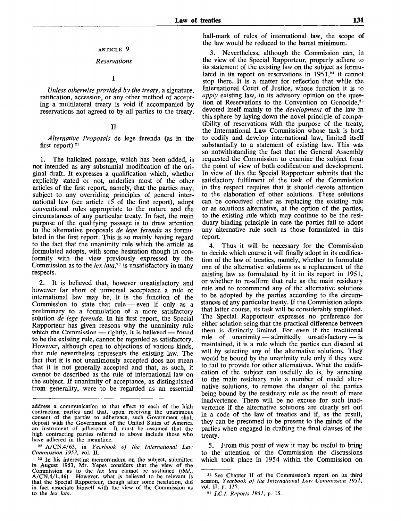## ARTICLE 9

### *Reservations*

I

*Unless otherwise provided by the treaty,* a signature, ratification, accession, or any other method of accepting a multilateral treaty is void if accompanied by reservations not agreed to by all parties to the treaty.

### II

*Alternative Proposals* de lege ferenda (as in the first report)  $22$ 

1. The italicized passage, which has been added, is not intended as any substantial modification of the original draft. It expresses a qualification which, whether explicitly stated or not, underlies most of the other articles of the first report, namely, that the parties may, subject to any overriding principles of general international law (see article 15 of the first report), adopt conventional rules appropriate to the nature and the circumstances of any particular treaty. In fact, the main purpose of the qualifying passage is to draw attention to the alternative proposals *de lege ferenda* as formulated in the first report. This is so mainly having regard to the fact that the unanimity rule which the article as formulated adopts, with some hesitation though in conformity with the view previously expressed by the Commission as to the *lex lata,<sup>23</sup>* is unsatisfactory in many respects.

2. It is believed that, however unsatisfactory and however far short of universal acceptance a rule of international law may be, it is the function of the Commission to state that rule — even if only as a preliminary to a formulation of a more satisfactory solution *de lege ferenda.* In his first report, the Special Rapporteur has given reasons why the unanimity rule which the Commission — rightly, it is believed — found to be the existing rule, cannot be regarded as satisfactory. However, although open to objections of various kinds, that rule nevertheless represents the existing law. The fact that it is not unanimously accepted does not mean that it is not generally accepted and that, as such, it cannot be described as the rule of international law on the subject. If unanimity of acceptance, as distinguished from generality, were to be regarded as an essential

hall-mark of rules of international law, the scope of the law would be reduced to the barest minimum.

Nevertheless, although the Commission can, in the view of the Special Rapporteur, properly adhere to its statement of the existing law on the subject as formulated in its report on reservations in  $1951$ ,<sup>24</sup> it cannot stop there. It is a matter for reflection that while the International Court of Justice, whose function it is to *apply* existing law, in its advisory opinion on the question of Reservations to the Convention on Genocide,<sup>25</sup> devoted itself mainly to the *development* of the law in this sphere by laying down the novel principle of compatibility of reservations with the purpose of the treaty, the International Law Commission whose task is both to codify and develop international law, limited itself substantially to a statement of existing law. This was so notwithstanding the fact that the General Assembly requested the Commission to examine the subject from the point of view of both codification and development. In view of this the Special Rapporteur submits that the satisfactory fulfilment of the task of the Commission in this respect requires that it should devote attention to the elaboration of other solutions. These solutions can be conceived either as replacing the existing rule or as solutions alternative, at the option of the parties, to the existing rule which may continue to be the residuary binding principle in case the parties fail to adopt any alternative rule such as those formulated in this report.

4. Thus it will be necessary for the Commission to decide which course it will finally adopt in its codification of the law of treaties, namely, whether to formulate one of the alternative solutions as a replacement of the existing law as formulated by it in its report in 1951, or whether to re-affirm that rule as the main residuary rule and to recommend any of the alternative solutions to be adopted by the parties according to the circumstances of any particular treaty. If the Commission adopts that latter course, its task will be considerably simplified. The Special Rapporteur expresses no preference for either solution seing that the practical difference between them is distinctly limited. For even if the traditional rule of unanimity — admittedly unsatisfactory — is maintained, it is a rule which the parties can discard at will by selecting any of the alternative solutions. They would be bound by the unanimity rule only if they were to fail to provide for other alternatives. What the codification of the subject can usefully do is, by annexing to the main residuary rule a number of model alternative solutions, to remove the danger of the parties being bound by the residuary rule as the result of mere inadvertence. There will be no excuse for such inadvertence if the alternative solutions are clearly set out in a code of the law of treaties and if, as the result, they can be presumed to be present to the minds of the parties when engaged in drafting the final clauses of the treaty.

5. From this point of view it may be useful to bring to the attention of the Commission the discussions which took place in 1954 within the Commission on

address a communication to that effect to each of the high contracting parties and that, upon receiving the unanimous consent of the parties to adherence, such Government shall deposit with the Government of the United States of America an instrument of adherence. It must be assumed that the high contracting parties referred to above include those who have adhered in the meantime.

<sup>22</sup> A/CN.4/63 , in *Yearbook of the International Law Commission 1953,* vol. II.

<sup>23</sup> In his interesting memorandum on the subject, submitted in August 1953, Mr. Yepes considers that the view of the Commission as to the *lex lata* cannot be sustained *(ibid.,* A/CN.4/L.46). However, what is believed to be relevant is that the Special Rapporteur, though after some hesitation, did in fact associate himself with the view of the Commission as to the *lex lata.*

<sup>21</sup> See Chapter II of the Commission's report on its third session, *Yearbook of the International Law Commission 1951,* vol. II, p. 125.

<sup>25</sup>  *l.CJ. Reports 1951,* p. 15.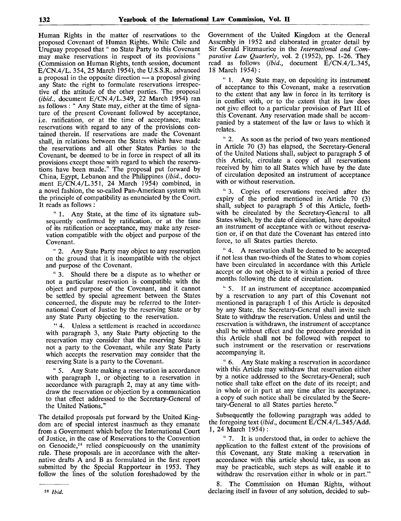Human Rights in the matter of reservations to the proposed Covenant of Human Rights. While Chile and Uruguay proposed that " no State Party to this Covenant may make reservations in respect of its provisions " (Commission on Human Rights, tenth session, document E/CN.4/L. 354, 25 March 1954), the U.S.S.R. advanced a proposal in the opposite direction — a proposal giving any State the right to formulate reservations irrespective of the attitude of the other parties. The proposal *{ibid.,* document E/CN.4/L.349, 22 March 1954) ran as follows : " Any State may, either at the time of signature of the present Covenant followed by acceptance, i.e. ratification, or at the time of acceptance, make reservations with regard to any of the provisions contained therein. If reservations are made the Covenant shall, in relations between the States which have made the reservations and all other States Parties to the Covenant, be deemed to be in force in respect of all its provisions except those with regard to which the reservations have been made." The proposal put forward by China, Egypt, Lebanon and the Philippines *{ibid.,* document E/CN.4/L.351, 24 March 1954) combined, in a novel fashion, the so-called Pan-American system with the principle of compatibility as enunciated by the Court. It reads as follows :

" 1. Any State, at the time of its signature subsequently confirmed by ratification, or at the time of its ratification or acceptance, may make any reservation compatible with the object and purpose of the Covenant.

" 2. Any State Party may object to any reservation on the ground that it is incompatible with the object and purpose of the Covenant.

" 3. Should there be a dispute as to whether or not a particular reservation is compatible with the object and purpose of the Covenant, and it cannot be settled by special agreement between the States concerned, the dispute may be referred to the International Court of Justice by the reserving State or by any State Party objecting to the reservation.

" 4. Unless a settlement is reached in accordance with paragraph 3, any State Party objecting to the reservation may consider that the reserving State is not a party to the Covenant, while any State Party which accepts the reservation may consider that the reserving State is a party to the Covenant.

" 5. Any State making a reservation in accordance with paragraph 1, or objecting to a reservation in accordance with paragraph 2, may at any time withdraw the reservation or objection by a communication to that effect addressed to the Secretary-General of the United Nations."

The detailed proposals put forward by the United Kingdom are of special interest inasmuch as they emanate from a Government which before the International Court of Justice, in the case of Reservations to the Convention on Genocide, $2^6$  relied conspicuously on the unanimity rule. These proposals are in accordance with the alternative drafts A and B as formulated in the first report submitted by the Special Rapporteur in 1953. They follow the lines of the solution foreshadowed by the Government of the United Kingdom at the General Assembly in 1952 and elaborated in greater detail by Sir Gerald Fitzmaurice in the *International and Comparative Law Quarterly,* vol. 2 (1952), pp. 1-26. They read as follows *{ibid.,* document E/CN.4/L.345, 18 March 1954):

" 1. Any State may, on depositing its instrument of acceptance to this Covenant, make a reservation to the extent that any law in force in its territory is in conflict with, or to the extent that its law does not give effect to a particular provision of Part III of this Covenant. Any reservation made shall be accompanied by a statement of the law or laws to which it relates.

" 2. As soon as the period of two years mentioned in Article 70 (3) has elapsed, the Secretary-General of the United Nations shall, subject to paragraph 5 of this Article, circulate a copy of all reservations received by him to all States which have by the date of circulation deposited an instrument of acceptance with or without reservation.

<sup>"</sup> 3. Copies of reservations received after the expiry of the period mentioned in Article 70 (3) shall, subject to paragraph 5 of this Article, forthwith be circulated by the Secretary-General to all States which, by the date of circulation, have deposited an instrument of acceptance with or without reservation or, if on that date the Covenant has entered into force, to all States parties thereto.

"4. A reservation shall be deemed to be accepted if not less than two-thirds of the States to whom copies have been circulated in accordance with this Article accept or do not object to it within a period of three months following the date of circulation.

'"5. If an instrument of acceptance accompanied by a reservation to any part of this Covenant not mentioned in paragraph 1 of this Article is deposited by any State, the Secretary-General shall invite such State to withdraw the reservation. Unless and until the reservation is withdrawn, the instrument of acceptance shall be without effect and the procedure provided in this Article shall not be followed with respect to such instrument or the reservation or reservations accompanying it.

" 6. Any State making a reservation in accordance with this Article may withdraw that reservation either by a notice addressed to the Secretary-General; such notice shall take effect on the date of its receipt; and in whole or in part at any time after its acceptance, a copy of such notice shall be circulated by the Secretary-General to all States parties hereto."

Subsequently the following paragraph was added to the foregoing text *{ibid.,* document E/CN.4/L.345/Add. 1, 24 March 1954):

" 7. It is understood that, in order to achieve the application to the fullest extent of the provisions of this Covenant, any State making a reservation in accordance with this article should take, as soon as may be practicable, such steps as will enable it to withdraw the reservation either in whole or in part."

8. The Commission on Human Rights, without declaring itself in favour of any solution, decided to sub-

<sup>&</sup>lt;sup>26</sup> *Ibid.*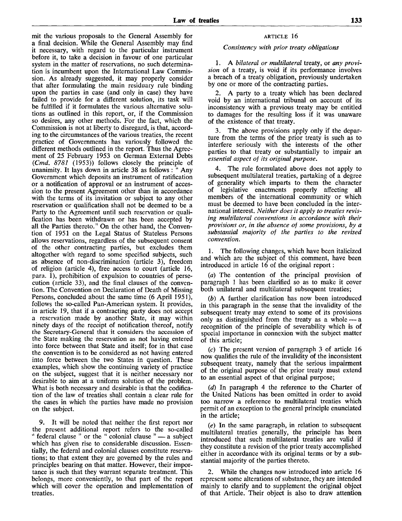mit the various proposals to the General Assembly for a final decision. While the General Assembly may find it necessary, with regard to the particular instrument before it, to take a decision in favour of one particular system in the matter of reservations, no such determination is incumbent upon the International Law Commission. As already suggested, it may properly consider that after formulating the main residuary rule binding upon the parties in case (and only in case) they have failed to provide for a different solution, its task will be fulfilled if it formulates the various alternative solutions as outlined in this report, or, if the Commission so desires, any other methods. For the fact, which the Commission is not at liberty to disregard, is that, according to the circumstances of the various treaties, the recent practice of Governments has variously followed the different methods outlined in the report. Thus the Agreement of 25 February 1953 on German External Debts *(Cmd. 8781* (1953)) follows closely the principle of unanimity. It lays down in article 38 as follows :  $\cdot$  Any Government which deposits an instrument of ratification or a notification of approval or an instrument of accession to the present Agreement other than in accordance with the terms of its invitation or subject to any other reservation or qualification shall not be deemed to be a Party to the Agreement until such reservation or qualification has been withdrawn or has been accepted by all the Parties thereto." On the other hand, the Convention of 1951 on the Legal Status of Stateless Persons allows reservations, regardless of the subsequent consent of the other contracting parties, but excludes them altogether with regard to some specified subjects, such as absence of non-discrimination (article 3), freedom of religion (article 4), free access to court (article 16, para. 1), prohibition of expulsion to countries of persecution (article 33), and the final clauses of the convention. The Convention on Declaration of Death of Missing Persons, concluded about the same time (6 April 1951), follows the so-called Pan-American system. It provides, in article 19, that if a contracting party does not accept a reservation made by another State, it may within ninety days of the receipt of notification thereof, notify the Secretary-General that it considers the accession of the State making the reservation as not having entered into force between that State and itself; for in that case the convention is to be considered as not having entered into force between the two States in question. These examples, which show the continuing variety of practice on the subject, suggest that it is neither necessary nor desirable to aim at a uniform solution of the problem. What is both necessary and desirable is that the codification of the law of treaties shall contain a clear rule for the cases in which the parties have made no provision on the subject.

9. It will be noted that neither the first report nor the present additional report refers to the so-called *"'* federal clause " or the " colonial clause " — a subject which has given rise to considerable discussion. Essentially, the federal and colonial clauses constitute reservations; to that extent they are governed by the rules and principles bearing on that matter. However, their importance is such that they warrant separate treatment. This belongs, more conveniently, to that part of the report which will cover the operation and implementation of treaties.

#### ARTICLE 16

#### *Consistency with prior treaty obligations*

1. A *bilateral or multilateral* treaty, or *any provision* of a treaty, is void if its performance involves a breach of a treaty obligation, previously undertaken by one or more of the contracting parties.

2. A party to a treaty which has been declared void by an international tribunal on account of its inconsistency with a previous treaty may be entitled to damages for the resulting loss if it was unaware of the existence of that treaty.

The above provisions apply only if the departure from the terms of the prior treaty is such as to interfere seriously with the interests of the other parties to that treaty or substantially to impair an *essential aspect of its original purpose.*

4. The rule formulated above does not apply to subsequent multilateral treaties, partaking of a degree of generality which imparts to them the character of legislative enactments properly affecting all members of the international community or which must be deemed to have been concluded in the international interest. *Neither does it apply to treaties revising multilateral conventions in accordance with their provisions or, in the absence of some provisions, by a substantial majority of the parties to the revised convention.*

1. The following changes, which have been italicized and which are the subject of this comment, have been introduced in article 16 of the original report:

*(a)* The contention of the principal provision of paragraph 1 has been clarified so as to make it cover both unilateral and multilateral subsequent treaties;

*(b)* A further clarification has now been introduced in this paragraph in the sense that the invalidity of the subsequent treaty may extend to some of its provisions only as distinguished from the treaty as a whole — a recognition of the principle of severability which is of special importance in connexion with the subject matter of this article;

(c) The present version of paragraph 3 of article 16 now qualifies the rule of the invalidity of the inconsistent subsequent treaty, namely that the serious impairment of the original purpose of the prior treaty must extend to an essential aspect of that original purpose;

*(d)* In paragraph 4 the reference to the Charter of the United Nations has been omitted in order to avoid too narrow a reference to multilateral treaties which permit of an exception to the general principle enunciated in the article;

*(e)* In the same paragraph, in relation to subsequent multilateral treaties generally, the principle has been introduced that such multilateral treaties are valid if they constitute a revision of the prior treaty accomplished either in accordance with its original terms or by a substantial majority of the parties thereto.

While the changes now introduced into article 16 represent some alterations of substance, they are intended mainly to clarify and to supplement the original object of that Article. Their object is also to draw attention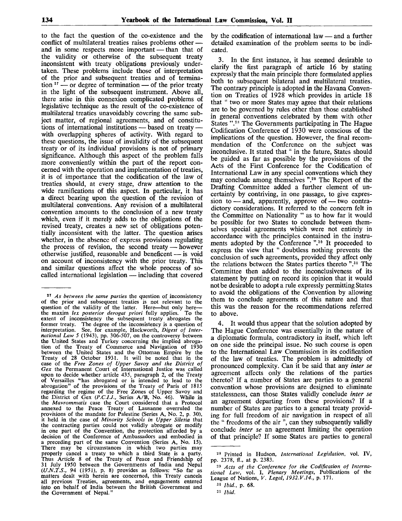to the fact the question of the co-existence and the conflict of multilateral treaties raises problems other and in some respects more important — than that of the validity or otherwise of the subsequent treaty inconsistent with treaty obligations previously undertaken. These problems include those of interpretation of the prior and subsequent treaties and of termina- $\frac{1}{27}$  — or degree of termination — of the prior treaty in the light of the subsequent instrument. Above all, there arise in this connexion complicated problems of legislative technique as the result of the co-existence of multilateral treaties unavoidably covering the same subject matter, of regional agreements, and of constitutions of international institutions — based on treaty with overlapping spheres of activity. With regard to these questions, the issue of invalidity of the subsequent treaty or of its individual provisions is not of primary significance. Although this aspect of the problem falls more conveniently within the part of the report concerned with the operation and implementation of treaties, it is of importance that the codification of the law of treaties should, at every stage, draw attention to the wide ramifications of this aspect. In particular, it has a direct bearing upon the question of the revision of multilateral conventions. Any revision of a multilateral convention amounts to the conclusion of a new treaty which, even if it merely adds to the obligations of the revised treaty, creates a new set of obligations potentially inconsistent with the latter. The question arises whether, in the absence of express provisions regulating the process of revision, the second treaty — however otherwise justified, reasonable and beneficent — is void on account of inconsistency with the prior treaty. This and similar questions affect the whole process of socalled international legislation — including that covered

by the codification of international law — and a further detailed examination of the problem seems to be indicated.

3. In the first instance, it has seemed desirable to clarify the first paragraph of article 16 by stating expressly that the main principle there formulated applies both to subsequent bilateral and multilateral treaties. The contrary principle is adopted in the Havana Convention on Treaties of 1928 which provides in article 18 that " two or more States may agree that their relations are to be governed by rules other than those established in general conventions celebrated by them with other States ".<sup>28</sup> The Governments participating in The Hague Codification Conference of 1930 were conscious of the implications of the question. However, the final recommendation of the Conference on the subject was inconclusive. It stated that " in the future, States should be guided as far as possible by the provisions of the Acts of the First Conference for the Codification of International Law in any special conventions which they may conclude among themselves ".<sup>29</sup> The Report of the Drafting Committee added a further element of uncertainty by contriving, in one passage, to give expression to — and, apparently, approve of — two contradictory considerations. It referred to the concern felt in the Committee on Nationality " as to how far it would be possible for two States to conclude between themselves special agreements which were not entirely in accordance with the principles contained in the instruments adopted by the Conference ".<sup>30</sup> It proceeded to express the view that " doubtless nothing prevents the conclusion of such agreements, provided they affect only the relations between the States parties thereto ".<sup>31</sup> The Committee then added to the inconclusiveness of its statement by putting on record its opinion that it would not be desirable to adopt a rule expressly permitting States to avoid the obligations of the Convention by allowing them to conclude agreements of this nature and that this was the reason for the recommendations referred to above.

4. It would thus appear that the solution adopted by The Hague Conference was essentially in the nature of a diplomatic formula, contradictory in itself, which left on one side the principal issue. No such course is open to the International Law Commission in its codification of the law of treaties. The problem is admittedly of pronounced complexity. Can it be said that any *inter se* agreement affects only the relations of the parties thereto? If a number of States are parties to a general convention whose provisions are designed to eliminate statelessness, can those States validly conclude *inter se* an agreement departing from these provisions? If a number of States are parties to a general treaty providing for full freedom of air navigation in respect of all the " freedoms of the air ", can they subsequently validly conclude *inter se* an agreement limiting the operation of that principle? If some States are parties to general

<sup>21</sup>  *As between the same parties* the question of inconsistency of the prior and subsequent treaties is not relevant to the question of the validity of the latter. Here—but only here the maxim *lex posterior derogat priori* fully applies. To the extent of inconsistency the subsequent treaty abrogates the former treaty. The degree of the inconsistency is a question of interpretation. See, for example, Hackworth, *Digest of International Law 5* (1943), pp. 306-507, on the controversy between the United States and Turkey concerning the implied abrogation of the Treaty of Commerce and Navigation of 1930 between the United States and the Ottoman Empire by the Treaty of 28 October 1931. It will be noted that in the case of the *Free Zones of Upper Savoy and the District of Gex* the Permanent Court of International Justice was called upon to decide whether article 435, paragraph 2, of the Treaty of Versailles "has abrogated or is intended to lead to the abrogation" of the provisions of the Treaty of Paris of 1815 regarding the regime of the Free Zones of Upper Savoy and the District of Gex *{P.C.J.J.,* Series A/B, No. 46). While in the *Mavrommatis* case the Court considered that a Protocol annexed to the Peace Treaty of Lausanne overruled the provisions of the mandate for Palestine (Series A, No. 2, p. 30), it held in the case of *Minority Schools in Upper Silesia* that the contracting parties could not validly abrogate or modify in one part of the Convention, the protection afforded by a decision of the Conference of Ambassadors and embodied in a preceding part of the same Convention (Series A, No. 15). There may be circumstances in which two parties may properly cancel a treaty to which a third State is a party. Thus Article 8 of the Treaty of Peace and Friendship of 31 July 1950 between the Governments of India and Nepal *(U.N.T.S.,* 94 (1951), p. 8) provides as follows: "So far as matters dealt with herein are concerned, this Treaty cancels all previous Treaties, agreements, and engagements entered into on behalf of India between the British Government and the Government of Nepal."

<sup>2 8</sup> Printed in Hudson, *International Legislation,* vol. IV, pp. 2378, ff., at p. 2383.

<sup>29</sup>  *Acts of the Conference for the Codification of International Law,* vol. I, *Plenary Meetings,* Publications of the League of Nations, *V. Legal, 1932.V.I4.,* p. 171.

<sup>3</sup> « *Ibid.,* p. 68.

<sup>3</sup>i *Ibid.*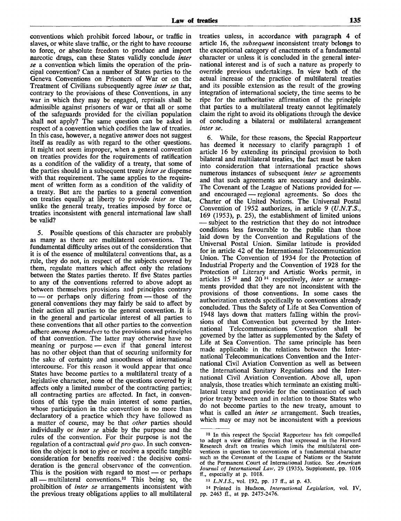conventions which prohibit forced labour, or traffic in slaves, or white slave traffic, or the right to have recourse to force, or absolute freedom to produce and import narcotic drugs, can these States validly conclude *inter se* a convention which limits the operation of the principal convention? Can a number of States parties to the Geneva Conventions on Prisoners of War or on the Treatment of Civilians subsequently agree *inter se* that, contrary to the provisions of these Conventions, in any war in which they may be engaged, reprisals shall be admissible against prisoners of war or that all or some of the safeguards provided for the civilian population shall not apply? The same question can be asked in respect of a convention which codifies the law of treaties. In this case, however, a negative answer does not suggest itself as readily as with regard to the other questions. It might not seem improper, when a general convention on treaties provides for the requirements of ratification as a condition of the validity of a treaty, that some of the parties should in a subsequent treaty *inter se* dispense with that requirement. The same applies to the requirement of written form as a condition of the validity of a treaty. But are the parties to a general convention on treaties equally at liberty to provide *inter se* that, unlike the general treaty, treaties imposed by force or treaties inconsistent with general international law shall be valid?

5. Possible questions of this character are probably as many as there are multilateral conventions. The fundamental difficulty arises out of the consideration that it is of the essence of multilateral conventions that, as a rule, they do not, in respect of the subjects covered by them, regulate matters which affect only the relations between the States parties thereto. If five States parties to any of the conventions referred to above adopt as between themselves provisions and principles contrary to — or perhaps only differing from — those of the general conventions they may fairly be said to affect by their action all parties to the general convention. It is in the general and particular interest of all parties to these conventions that all other parties to the convention adhere *among themselves* to the provisions and principles of that convention. The latter may otherwise have no meaning or purpose — even if that general interest has no other object than that of securing uniformity for the sake of certainty and smoothness of international intercourse. For this reason it would appear that once States have become parties to a multilateral treaty of a legislative character, none of the questions covered by it affects only a limited number of the contracting parties; all contracting parties are affected. In fact, in conventions of this type the main interest of some parties, whose participation in the convention is no more than declaratory of a practice which they have followed as a matter of course, may be that *other* parties should individually or *inter se* abide by the purpose and the rules of the convention. For their purpose is not the regulation of a contractual *quid pro quo.* In such convention the object is not to give or receive a specific tangible consideration for benefits received : the decisive consideration is the general observance of the convention. This is the position with regard to most — or perhaps all — multilateral conventions.<sup>32</sup> This being so, the prohibition of *inter se* arrangements inconsistent with the previous treaty obligations applies to all multilateral treaties unless, in accordance with paragraph 4 of article 16, the *subsequent* inconsistent treaty belongs to the exceptional category of enactments of a fundamental character or unless it is concluded in the general international interest and is of such a nature as properly to override previous undertakings. In view both of the actual increase of the practice of multilateral treaties and its possible extension as the result of the growing integration of international society, the time seems to be ripe for the authoritative affirmation of the principle that parties to a multilateral treaty cannot legitimately claim the right to avoid its obligations through the device of concluding a bilateral or multilateral arrangement *inter se.*

6. While, for these reasons, the Special Rapporteur has deemed it necessary to clarify paragraph 1 of article 16 by extending its principal provision to both bilateral and multilateral treaties, the fact must be taken into consideration that international practice shows numerous instances of subsequent *inter se* agreements and that such agreements are necessary and desirable. The Covenant of the League of Nations provided for and encouraged — regional agreements. So does the Charter of the United Nations. The Universal Postal Convention of 1952 authorizes, in article 9 *(U.N.T.S.,* 169 (1953), p. 25), the establishment of limited unions — subject to the restriction that they do not introduce conditions less favourable to the public than those laid down by the Convention and Regulations of the Universal Postal Union. Similar latitude is provided for in article 42 of the International Telecommunication Union. The Convention of 1934 for the Protection of Industrial Property and the Convention of 1928 for the Protection of Literary and Artistic Works permit, in articles 15<sup>33</sup> and 20<sup>34</sup> respectively, *inter se* arrangements provided that they are not inconsistent with the provisions of those conventions. In some cases the authorization extends specifically to conventions already concluded. Thus the Safety of Life at Sea Convention of 1948 lays down that matters falling within the provisions of that Convention but governed by the International Telecommunications Convention shall be governed by the latter as supplemented by the Safety of Life at Sea Convention. The same principle has been made applicable in the relations between the International Telecommunications Convention and the International Civil Aviation Convention as well as between the International Sanitary Regulations and the International Civil Aviation Convention. Above all, upon analysis, those treaties which terminate an existing multilateral treaty and provide for the continuation of such prior treaty between and in relation to those States who do not become parties to the new treaty, amount to what is called an *inter se* arrangement. Such treaties, which may or may not be inconsistent with a previous

<sup>&</sup>lt;sup>32</sup> In this respect the Special Rapporteur has felt compelled to adopt a view differing from that expressed in the Harvard Research draft on treaties which limits the multilateral conventions in question to conventions of a fundamental character such as the Covenant of the League of Nations or the Statute of the Permanent Court of International Justice. See *American Journal of International Law,* 29 (1935), Supplement, pp. 1016 ff., especially at p. 1018.

<sup>&</sup>lt;sup>33</sup> L.N.I.S., vol. 192, pp. 17 ff., at p. 43.

<sup>34</sup> Printed in Hudson, *International Legislation,* vol. IV, pp. 2463 ff., at pp. 2475-2476.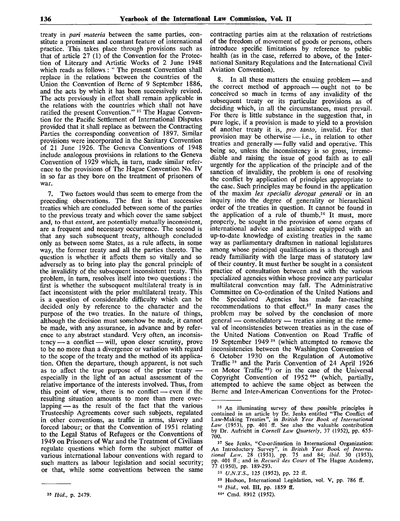treaty in *part materia* between the same parties, constitute a prominent and constant feature of international practice. This takes place through provisions such as that of article 27 (1) of the Convention for the Protection of Literary and Artistic Works of 2 June 1948 which reads as follows : " The present Convention shall replace in the relations between the countries of the Union the Convention of Berne of 9 September 1886, and the acts by which it has been successively revised. The acts previously in effect shall remain applicable in the relations with the countries which shall not have ratified the present Convention."<sup>35</sup> The Hague Convention for the Pacific Settlement of International Disputes provided that it shall replace as between the Contracting Parties the corresponding convention of 1897. Similar provisions were incorporated in the Sanitary Convention of 21 June 1926. The Geneva Conventions of 1948 include analogous provisions in relations to the Geneva Convention of 1929 which, in turn, made similar reference to the provisions of The Hague Convention No. IV in so far as they bore on the treatment of prisoners of war.

7. Two factors would thus seem to emerge from the preceding observations. The first is that successive treaties which are concluded between some of the parties to the previous treaty and which cover the same subject and, to that extent, are potentially mutually inconsistent, are a frequent and necessary occurrence. The second is that any such subsequent treaty, although concluded only as between some States, as a rule affects, in some way, the former treaty and all the parties thereto. The question is whether it affects them so vitally and so adversely as to bring into play the general principle of the invalidity of the subsequent inconsistent treaty. This problem, in turn, resolves itself into two questions : the first is whether the subsequent multilateral treaty is in fact inconsistent with the prior multilateral treaty. This is a question of considerable difficulty which can be decided only by reference to the character and the purpose of the two treaties. In the nature of things, although the decision must somehow be made, it cannot be made, with any assurance, in advance and by reference to any abstract standard. Very often, an inconsistency — a conflict — will, upon closer scrutiny, prove to be no more than a divergence or variation with regard to the scope of the treaty and the method of its application. Often the departure, though apparent, is not such as to affect the true purpose of the prior treaty especially in the light of an actual assessment of the relative importance of the interests involved. Thus, from this point of view, there is no conflict — even if the resulting situation amounts to more than mere overlapping — as the result of the fact that the various Trusteeship Agreements cover such subjects, regulated in other conventions, as traffic in arms, slavery and forced labour; or that the Convention of 1951 relating to the Legal Status of Refugees or the Conventions of 1949 on Prisoners of War and the Treatment of Civilians regulate questions which form the subject matter of various international labour conventions with regard to such matters as labour legislation and social security; or that, while some conventions between the same

*ibid.,* p. 2479.

contracting parties aim at the relaxation of restrictions of the freedom of movement of goods or persons, others introduce specific limitations by reference to public health (as in the case, referred to above, of the International Sanitary Regulations and the International Civil Aviation Convention).

8. In all these matters the ensuing problem — and the correct method of approach — ought not to be conceived so much in terms of any invalidity of the subsequent treaty or its particular provisions as of deciding which, in all the circumstances, must prevail. For there is little substance in the suggestion that, in pure logic, if a provision is made to yield to a provision of another treaty it is, *pro tanto,* invalid. For that provision may be otherwise — i.e., in relation to other treaties and generally — fully valid and operative. This being so, unless the inconsistency is so gross, irremediable and raising the issue of good faith as to call urgently for the application of the principle and of the sanction of invalidity, the problem is one of resolving the conflict by application of principles appropriate to the case. Such principles may be found in the application of the maxim *lex specialis derogat generali* or in an inquiry into the degree of generality or hierarchical order of the treaties in question. It cannot be found in the application of a rule of thumb.<sup>36</sup> It must, more properly, be sought in the provision of some organs of international advice and assistance equipped with an up-to-date knowledge of existing treaties in the same way as parliamentary draftsmen in national legislatures among whose principal qualifications is a thorough and ready familiarity with the large mass of statutory law of their country. It must further be sought in a consistent practice of consultation between and with the various specialized agencies within whose province any particular multilateral convention may fall. The Administrative Committee on Co-ordination of the United Nations and the Specialized Agencies has made far-reaching recommendations to that effect.<sup>37</sup> In many cases the problem may be solved by the conclusion of more general — consolidatory — treaties aiming at the removal of inconsistencies between treaties as in the case of the United Nations Convention on Road Traffic of 19 September 1949 38 (which attempted to remove the inconsistencies between the Washington Convention of 6 October 1930 on the Regulation of Automotive Traffic<sup>39</sup> and the Paris Convention of 24 April 1926 on Motor Traffic<sup>40</sup>) or in the case of the Universal Copyright Convention of  $1952^{40*}$  (which, partially, attempted to achieve the same object as between the Berne and Inter-American Conventions for the Protec-

<sup>&</sup>lt;sup>36</sup> An illuminating survey of these possible principles is contained in an article by Dr. Jenks entitled "The Conflict of Law-Making Treaties", in *British Year Book of International Law* (1953), pp. 401 ff. See also the valuable contribution by Dr. Aufricht in *Cornell Law Quarterly,* 37 (1952), pp. 655- 700.

<sup>&</sup>lt;sup>37</sup> See Jenks, "Co-ordination in International Organization: An Introductory Survey", in *British Year Book of International Law,* 28 (1951), pp. 75 and 84; *ibid.* 30 (1953), pp. 401 ff.; and in *Recueil des Cours* of The Hague Academy, 77 (1950), pp. 189-293.

<sup>3</sup> « *U.N.T.S.,* 125 (1952), pp. 22 ff.

<sup>39</sup> Hudson, International Legislation, vol. V, pp. 786 ff.

<sup>4</sup> ° *Ibid.,* vol. Ill, pp. 1859 ff.

<sup>4&</sup>lt;sup>04</sup> Cmd. 8912 (1952).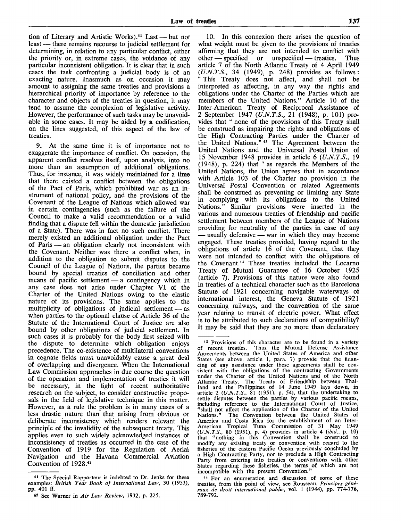tion of Literary and Artistic Works).<sup>41</sup> Last — but not least — there remains recourse to judicial settlement for determining, in relation to any particular conflict, either the priority or, in extreme cases, the voidance of any particular inconsistent obligation. It is clear that in such cases the task confronting a judicial body is of an exacting nature. Inasmuch as on occasion it may amount to assigning the same treaties and provisions a hierarchical priority of importance by reference to the character and objects of the treaties in question, it may tend to assume the complexion of legislative activity. However, the performance of such tasks may be unavoidable in some cases. It may be aided by a codification, on the lines suggested, of this aspect of the law of treaties.

9. At the same time it is of importance not to exaggerate the importance of conflict. On occasion, the apparent conflict resolves itself, upon analysis, into no more than an assumption of additional obligations. Thus, for instance, it was widely maintained for a time that there existed a conflict between the obligations of the Pact of Paris, which prohibited war as an instrument of national policy, and the provisions of the Covenant of the League of Nations which allowed war in certain contingencies (such as the failure of the Council to make a valid recommendation or a valid finding that a dispute fell within the domestic jurisdiction of a State). There was in fact no such conflict. There merely existed an additional obligation under the Pact of Paris — an obligation clearly not inconsistent with the Covenant. Neither was there a conflict when, in addition to the obligation to submit disputes to the Council of the League of Nations, the parties became bound by special treaties of conciliation and other means of pacific settlement — a contingency which in any case does not arise under Chapter VI of the Charter of the United Nations owing to the elastic nature of its provisions. The same applies to the multiplicity of obligations of judicial settlement — as when parties to the optional clause of Article 36 of the Statute of the International Court of Justice are also bound by other obligations of judicial settlement. In such cases it is probably for the body first seized with the dispute to determine which obligation enjoys precedence. The co-existence of multilateral conventions in cognate fields must unavoidably cause a great deal of overlapping and divergence. When the International Law Commission approaches in due course the question of the operation and implementation of treaties it will be necessary, in the light of recent authoritative research on the subject, to consider constructive proposals in the field of legislative technique in this matter. However, as a rule the problem is in many cases of a less drastic nature than that arising from obvious or deliberate inconsistency which renders relevant the principle of the invalidity of the subsequent treaty. This applies even to such widely acknowledged instances of inconsistency of treaties as occurred in the case of the Convention of 1919 for the Regulation of Aerial Navigation and the Havana Commercial Aviation Convention of 1928.<sup>42</sup>

10. In this connexion there arises the question of what weight must be given to the provisions of treaties affirming that they are not intended to conflict with other — specified or unspecified — treaties. Thus  $other$  — specified or unspecified — treaties. article 7 of the North Atlantic Treaty of 4 April 1949 *(U.N.T.S.,* 34 (1949), p. 248) provides as follows: " This Treaty does not affect, and shall not be interpreted as affecting, in any way the rights and obligations under the Charter of the Parties which are members of the United Nations." Article 10 of the Inter-American Treaty of Reciprocal Assistance of 2 September 1947 *(U.N.T.S.,* 21 (1948), p. 101) provides that " none of the provisions of this Treaty shall be construed as impairing the rights and obligations of the High Contracting Parties under the Charter of the United Nations." 43 The Agreement between the United Nations and the Universal Postal Union of 15 November 1948 provides in article 6 *(U.N.T.S.,* 19 (1948), p. 224) that " as regards the Members of the United Nations, the Union agrees that in accordance with Article 103 of the Charter no provision in the Universal Postal Convention or related Agreements shall be construed as preventing or limiting any State in complying with its obligations to the United Nations." Similar provisions were inserted in the various and numerous treaties of friendship and pacific settlement between members of the League of Nations providing for neutrality of the parties in case of any — usually defensive — war in which they may become engaged. These treaties provided, having regard to the obligations of article 16 of the Covenant, that they were not intended to conflict with the obligations of the Covenant.<sup>44</sup> These treaties included the Locarno Treaty of Mutual Guarantee of 16 October 1925 (article 7). Provisions of this nature were also found in treaties of a technical character such as the Barcelona Statute of 1921 concerning navigable waterways of international interest, the Geneva Statute of 1921 concerning railways, and the convention of the same year relating to transit of electric power. What effect is to be attributed to such declarations of compatibility? It may be said that they are no more than declaratory

44 For an enumeration and discussion of some of these treaties, from this point of view, see Rousseau, *Principes generaux de droit international public,* vol. 1 (1944), pp. 774-776, 789-792.

<sup>&</sup>lt;sup>41</sup> The Special Rapporteur is indebted to Dr. Jenks for these examples: *British Year Book of International Law,* 30 (1953), pp. 401 ff.

<sup>4&</sup>lt;sup>2</sup> See Warner in Air Law Review, 1932, p. 225.

<sup>43</sup> Provisions of this character are to be found in a variety of recent treaties. Thus the Mutual Defense Assistance Agreements between the United States of America and other States (see above, article 1, para. 7) provide that the financing of any assistance under these agreements shall be consistent with the obligations of the contracting Governments under the Charter of the United Nations and of the North Atlantic Treaty. The Treaty of Friendship between Thailand and the Philippines of 14 June 1949 lays down, in article 2 *(U.N.T.S.,* 81 (1951), p. 54), that the undertaking to settle disputes between the parties by various pacific means, including reference to the International Court of Justice, "shall not affect the application of the Charter of the United Nations." The Convention between the United States of America and Costa Rica for the establishment of an Inter-American Tropical Tuna Commission of 31 May 1949 *(U.N.T.S.,* 80 (1951), p. 4) provides in article 4 *(ibid.,* p. 10) that "nothing in this Convention shall be construed to modify any existing treaty or convention with regard to the fisheries of the eastern Pacific Ocean previously concluded by a High Contracting Party, nor to preclude a High Contracting Party from entering into treaties or conventions with other States regarding these fisheries, the terms of which are not incompatible with the present Convention."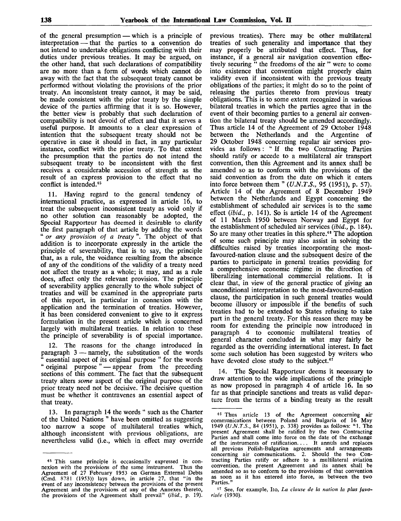of the general presumption — which is a principle of interpretation — that the parties to a convention do not intend to undertake obligations conflicting with their duties under previous treaties. It may be argued, on the other hand, that such declarations of compatibility are no more than a form of words which cannot do away with the fact that the subsequent treaty cannot be performed without violating the provisions of the prior treaty. An inconsistent treaty cannot, it may be said, be made consistent with the prior treaty by the simple device of the parties affirming that it is so. However, the better view is probably that such declaration of compatibility is not devoid of effect and that it serves a useful purpose. It amounts to a clear expression of intention that the subsequent treaty should not be operative in case it should in fact, in any particular instance, conflict with the prior treaty. To that extent the presumption that the parties do not intend the subsequent treaty to be inconsistent with the first receives a considerable accession of strength as the result of an express provision to the effect that no conflict is intended.<sup>45</sup>

11. Having regard to the general tendency of international practice, as expressed in article 16, to treat the subsequent inconsistent treaty as void only if no other solution can reasonably be adopted, the Special Rapporteur has deemed it desirable to clarify the first paragraph of that article by adding the words " *or any provision of a treaty* ". The object of that addition is to incorporate expressly in the article the principle of severability, that is to say, the principle that, as a rule, the voidance resulting from the absence of any of the conditions of the validity of a treaty need not affect the treaty as a whole; it may, and as a rule does, affect only the relevant provision. The principle of severability applies generally to the whole subject of treaties and will be examined in the appropriate parts of this report, in particular in connexion with the application and the termination of treaties. However, it has been considered convenient to give to it express formulation in the present article which is concerned largely with multilateral treaties. In relation to these the principle of severability is of special importance.

12. The reasons for the change introduced in paragraph 3 — namely, the substitution of the words essential aspect of its original purpose " for the words " original purpose " — appear from the preceding sections of this comment. The fact that the subsequent treaty alters *some* aspect of the original purpose of the prior treaty need not be decisive. The decisive question must be whether it contravenes an essential aspect of that treaty.

13. In paragraph 14 the words " such as the Charter of the United Nations " have been omitted as suggesting too narrow a scope of multilateral treaties which, although inconsistent with previous obligations, are nevertheless valid (i.e., which in effect may override previous treaties). There may be other multilateral treaties of such generality and importance that they may properly be attributed that effect. Thus, for instance, if a general air navigation convention effectively securing " the freedoms of the air " were to come into existence that convention might properly claim validity even if inconsistent with the previous treaty obligations of the parties; it might do so to the point of releasing the parties thereto from previous treaty obligations. This is to some extent recognized in various bilateral treaties in which the parties agree that in the event of their becoming parties to a general air convention the bilateral treaty should be amended accordingly. Thus article 14 of the Agreement of 29 October 1948 between the Netherlands and the Argentine of 29 October 1948 concerning regular air services provides as follows: " If the two Contracting Parties should ratify or accede to a multilateral air transport convention, then this Agreement and its annex shall be amended so as to conform with the provisions of the said convention as from the date on which it enters into force between them " *(U.N.T.S.,* 95 (1951), p. 57). Article 14 of the Agreement of 8 December 1949 between the Netherlands and Egypt concerning the establishment of scheduled air services is to the same effect *(ibid.,* p. 141). So is article 14 of the Agreement of 11 March 1950 between Norway and Egypt for the establishment of scheduled air services *(ibid.,* p. 184). So are many other treaties in this sphere.<sup>48</sup> The adoption of some such principle may also assist in solving the difficulties raised by treaties incorporating the mostfavoured-nation clause and the subsequent desire of the parties to participate in general treaties providing for a comprehensive economic regime in the direction of liberalizing international commercial relations. It is clear that, in view of the general practice of giving an unconditional interpretation to the most-favoured-nation clause, the participation in such general treaties would become illusory or impossible if the benefits of such treaties had to be extended to States refusing to take part in the general treaty. For this reason there may be room for extending the principle now introduced in paragraph 4 to economic multilateral treaties of general character concluded in what may fairly be regarded as the overriding international interest. In fact some such solution has been suggested by writers who have devoted close study to the subject. $47$ 

14. The Special Rapporteur deems it necessary to draw attention to the wide implications of the principle as now proposed in paragraph 4 of article 16. In sofar as that principle sanctions and treats as valid departure from the terms of a binding treaty as the result

<sup>45</sup> This same principle is occasionally expressed in connexion with the provisions of the same instrument. Thus the Agreement of 27 February 1953 on German External Debts (Cmd. 8781 (1953)) lays down, in article 27, that "in the event of any inconsistency between the provisions of the present Agreement and the provisions of any of the Annexes thereto, the provisions of the Agreement shall prevail" *(ibid.,* p. 19).

<sup>46</sup> Thus article 13 of the Agreement concerning air communications between Poland and Bulgaria of 16 May 1949 *(U.N.T.S., 84 (1951), p. 338) provides as follows:* "1. The present Agreement shall be ratified by the two Contracting Parties and shall come into force on the date of the exchange of the instruments of ratification. .. . It annuls and replaces all previous Polish-Bulgarian agreements and arrangements concerning air communications. 2. Should the two Contracting Parties ratify or adhere to a multilateral aviation convention, the present Agreement and its annex shall be amended so as to conform to the provisions of that convention as soon as it has entered into force, as between the two Parties.

<sup>47</sup> See, for example, Ito, *La clause de la nation la plus favorisee* (1930).